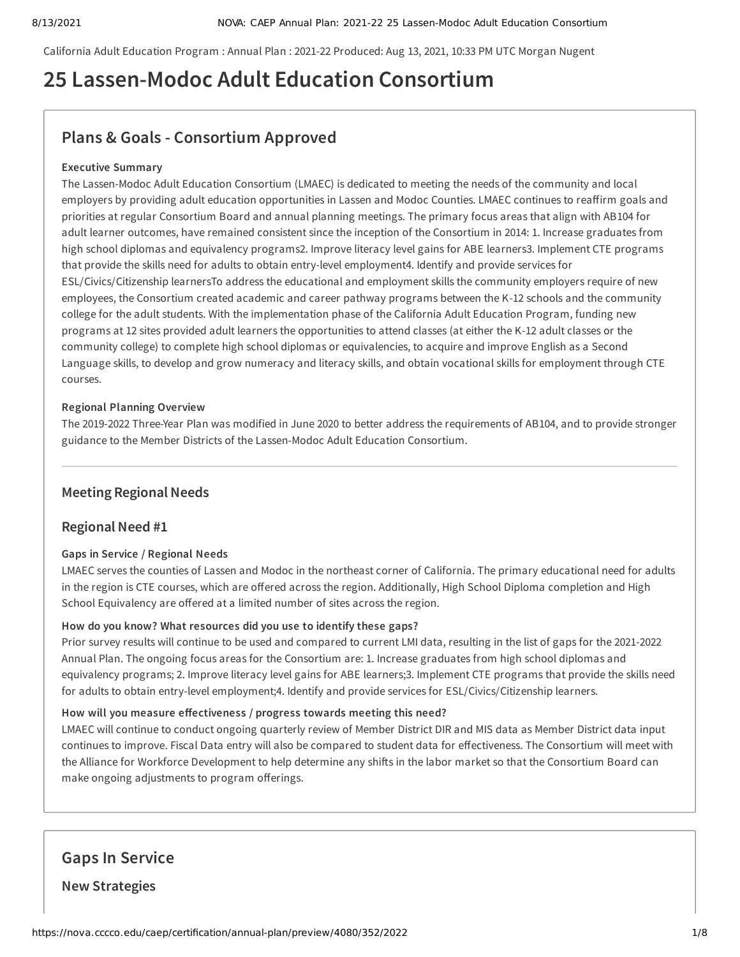California Adult Education Program : Annual Plan : 2021-22 Produced: Aug 13, 2021, 10:33 PM UTC Morgan Nugent

# **25 Lassen-Modoc Adult Education Consortium**

# **Plans & Goals - Consortium Approved**

# **Executive Summary**

The Lassen-Modoc Adult Education Consortium (LMAEC) is dedicated to meeting the needs of the community and local employers by providing adult education opportunities in Lassen and Modoc Counties. LMAEC continues to reaffirm goals and priorities at regular Consortium Board and annual planning meetings. The primary focus areas that align with AB104 for adult learner outcomes, have remained consistent since the inception of the Consortium in 2014: 1. Increase graduates from high school diplomas and equivalency programs2. Improve literacy level gains for ABE learners3. Implement CTE programs that provide the skills need for adults to obtain entry-level employment4. Identify and provide services for ESL/Civics/Citizenship learnersTo address the educational and employment skills the community employers require of new employees, the Consortium created academic and career pathway programs between the K-12 schools and the community college for the adult students. With the implementation phase of the California Adult Education Program, funding new programs at 12 sites provided adult learners the opportunities to attend classes (at either the K-12 adult classes or the community college) to complete high school diplomas or equivalencies, to acquire and improve English as a Second Language skills, to develop and grow numeracy and literacy skills, and obtain vocational skills for employment through CTE courses.

### **Regional Planning Overview**

The 2019-2022 Three-Year Plan was modified in June 2020 to better address the requirements of AB104, and to provide stronger guidance to the Member Districts of the Lassen-Modoc Adult Education Consortium.

# **Meeting Regional Needs**

# **Regional Need #1**

### **Gaps in Service / Regional Needs**

LMAEC serves the counties of Lassen and Modoc in the northeast corner of California. The primary educational need for adults in the region is CTE courses, which are offered across the region. Additionally, High School Diploma completion and High School Equivalency are offered at a limited number of sites across the region.

### **How do you know? What resources did you use to identify these gaps?**

Prior survey results will continue to be used and compared to current LMI data, resulting in the list of gaps for the 2021-2022 Annual Plan. The ongoing focus areas for the Consortium are: 1. Increase graduates from high school diplomas and equivalency programs; 2. Improve literacy level gains for ABE learners;3. Implement CTE programs that provide the skills need for adults to obtain entry-level employment;4. Identify and provide services for ESL/Civics/Citizenship learners.

### **How will you measure effectiveness / progress towards meeting this need?**

LMAEC will continue to conduct ongoing quarterly review of Member District DIR and MIS data as Member District data input continues to improve. Fiscal Data entry will also be compared to student data for effectiveness. The Consortium will meet with the Alliance for Workforce Development to help determine any shifts in the labor market so that the Consortium Board can make ongoing adjustments to program offerings.

**Gaps In Service New Strategies**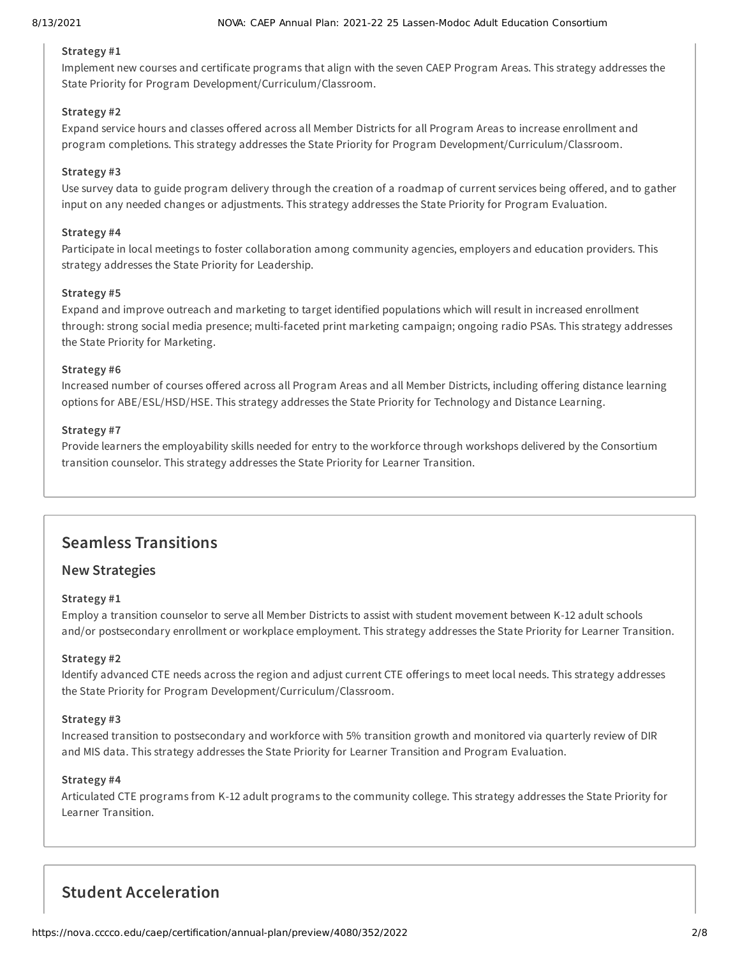## **Strategy #1**

Implement new courses and certificate programs that align with the seven CAEP Program Areas. This strategy addresses the State Priority for Program Development/Curriculum/Classroom.

### **Strategy #2**

Expand service hours and classes offered across all Member Districts for all Program Areas to increase enrollment and program completions. This strategy addresses the State Priority for Program Development/Curriculum/Classroom.

### **Strategy #3**

Use survey data to guide program delivery through the creation of a roadmap of current services being offered, and to gather input on any needed changes or adjustments. This strategy addresses the State Priority for Program Evaluation.

### **Strategy #4**

Participate in local meetings to foster collaboration among community agencies, employers and education providers. This strategy addresses the State Priority for Leadership.

### **Strategy #5**

Expand and improve outreach and marketing to target identified populations which will result in increased enrollment through: strong social media presence; multi-faceted print marketing campaign; ongoing radio PSAs. This strategy addresses the State Priority for Marketing.

### **Strategy #6**

Increased number of courses offered across all Program Areas and all Member Districts, including offering distance learning options for ABE/ESL/HSD/HSE. This strategy addresses the State Priority for Technology and Distance Learning.

### **Strategy #7**

Provide learners the employability skills needed for entry to the workforce through workshops delivered by the Consortium transition counselor. This strategy addresses the State Priority for Learner Transition.

# **Seamless Transitions**

# **New Strategies**

### **Strategy #1**

Employ a transition counselor to serve all Member Districts to assist with student movement between K-12 adult schools and/or postsecondary enrollment or workplace employment. This strategy addresses the State Priority for Learner Transition.

### **Strategy #2**

Identify advanced CTE needs across the region and adjust current CTE offerings to meet local needs. This strategy addresses the State Priority for Program Development/Curriculum/Classroom.

### **Strategy #3**

Increased transition to postsecondary and workforce with 5% transition growth and monitored via quarterly review of DIR and MIS data. This strategy addresses the State Priority for Learner Transition and Program Evaluation.

### **Strategy #4**

Articulated CTE programs from K-12 adult programs to the community college. This strategy addresses the State Priority for Learner Transition.

# **Student Acceleration**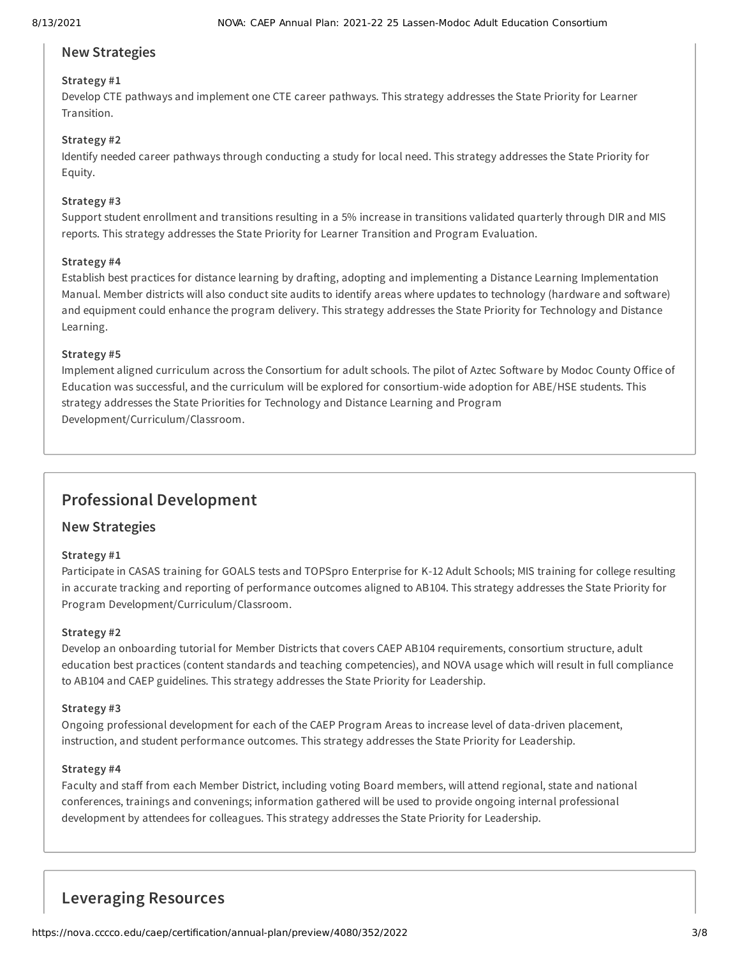# **New Strategies**

# **Strategy #1**

Develop CTE pathways and implement one CTE career pathways. This strategy addresses the State Priority for Learner Transition.

### **Strategy #2**

Identify needed career pathways through conducting a study for local need. This strategy addresses the State Priority for Equity.

### **Strategy #3**

Support student enrollment and transitions resulting in a 5% increase in transitions validated quarterly through DIR and MIS reports. This strategy addresses the State Priority for Learner Transition and Program Evaluation.

### **Strategy #4**

Establish best practices for distance learning by drafting, adopting and implementing a Distance Learning Implementation Manual. Member districts will also conduct site audits to identify areas where updates to technology (hardware and software) and equipment could enhance the program delivery. This strategy addresses the State Priority for Technology and Distance Learning.

### **Strategy #5**

Implement aligned curriculum across the Consortium for adult schools. The pilot of Aztec Software by Modoc County Office of Education was successful, and the curriculum will be explored for consortium-wide adoption for ABE/HSE students. This strategy addresses the State Priorities for Technology and Distance Learning and Program Development/Curriculum/Classroom.

# **Professional Development**

# **New Strategies**

### **Strategy #1**

Participate in CASAS training for GOALS tests and TOPSpro Enterprise for K-12 Adult Schools; MIS training for college resulting in accurate tracking and reporting of performance outcomes aligned to AB104. This strategy addresses the State Priority for Program Development/Curriculum/Classroom.

### **Strategy #2**

Develop an onboarding tutorial for Member Districts that covers CAEP AB104 requirements, consortium structure, adult education best practices (content standards and teaching competencies), and NOVA usage which will result in full compliance to AB104 and CAEP guidelines. This strategy addresses the State Priority for Leadership.

### **Strategy #3**

Ongoing professional development for each of the CAEP Program Areas to increase level of data-driven placement, instruction, and student performance outcomes. This strategy addresses the State Priority for Leadership.

### **Strategy #4**

Faculty and staff from each Member District, including voting Board members, will attend regional, state and national conferences, trainings and convenings; information gathered will be used to provide ongoing internal professional development by attendees for colleagues. This strategy addresses the State Priority for Leadership.

# **Leveraging Resources**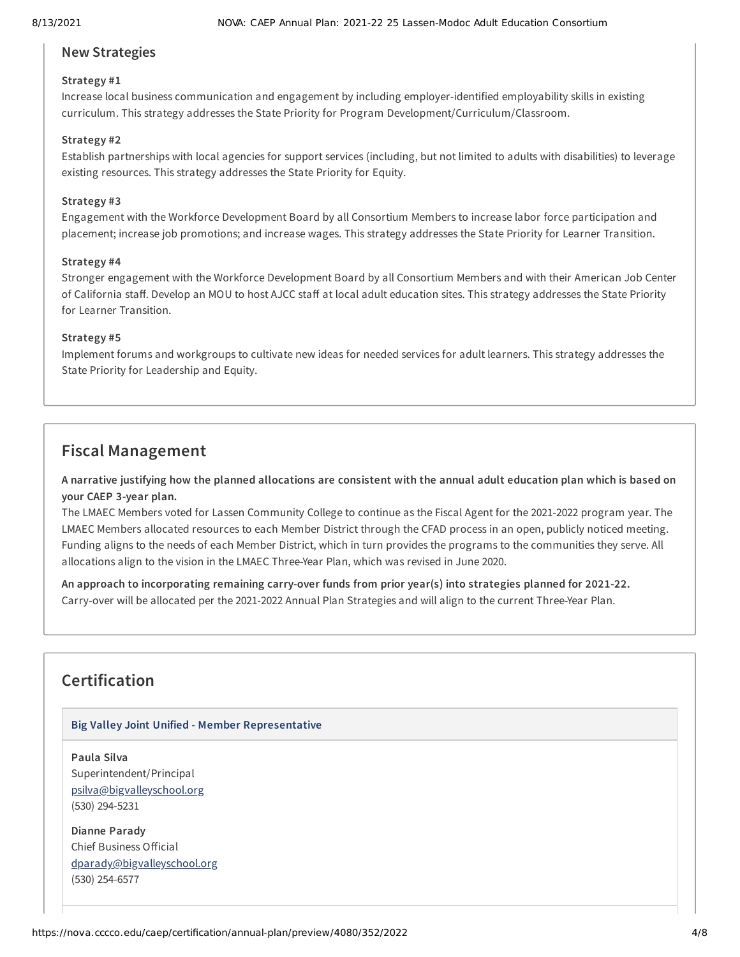# **New Strategies**

## **Strategy #1**

Increase local business communication and engagement by including employer-identified employability skills in existing curriculum. This strategy addresses the State Priority for Program Development/Curriculum/Classroom.

### **Strategy #2**

Establish partnerships with local agencies for support services (including, but not limited to adults with disabilities) to leverage existing resources. This strategy addresses the State Priority for Equity.

### **Strategy #3**

Engagement with the Workforce Development Board by all Consortium Members to increase labor force participation and placement; increase job promotions; and increase wages. This strategy addresses the State Priority for Learner Transition.

### **Strategy #4**

Stronger engagement with the Workforce Development Board by all Consortium Members and with their American Job Center of California staff. Develop an MOU to host AJCC staff at local adult education sites. This strategy addresses the State Priority for Learner Transition.

### **Strategy #5**

Implement forums and workgroups to cultivate new ideas for needed services for adult learners. This strategy addresses the State Priority for Leadership and Equity.

# **Fiscal Management**

A narrative justifying how the planned allocations are consistent with the annual adult education plan which is based on **your CAEP 3-year plan.**

The LMAEC Members voted for Lassen Community College to continue as the Fiscal Agent for the 2021-2022 program year. The LMAEC Members allocated resources to each Member District through the CFAD process in an open, publicly noticed meeting. Funding aligns to the needs of each Member District, which in turn provides the programs to the communities they serve. All allocations align to the vision in the LMAEC Three-Year Plan, which was revised in June 2020.

**An approach to incorporating remaining carry-over funds from prior year(s) into strategies planned for 2021-22.** Carry-over will be allocated per the 2021-2022 Annual Plan Strategies and will align to the current Three-Year Plan.

# **Certification**

### **Big Valley Joint Unified - Member Representative**

**Paula Silva** Superintendent/Principal [psilva@bigvalleyschool.org](mailto:psilva@bigvalleyschool.org) (530) 294-5231

**Dianne Parady** Chief Business Official [dparady@bigvalleyschool.org](mailto:dparady@bigvalleyschool.org) (530) 254-6577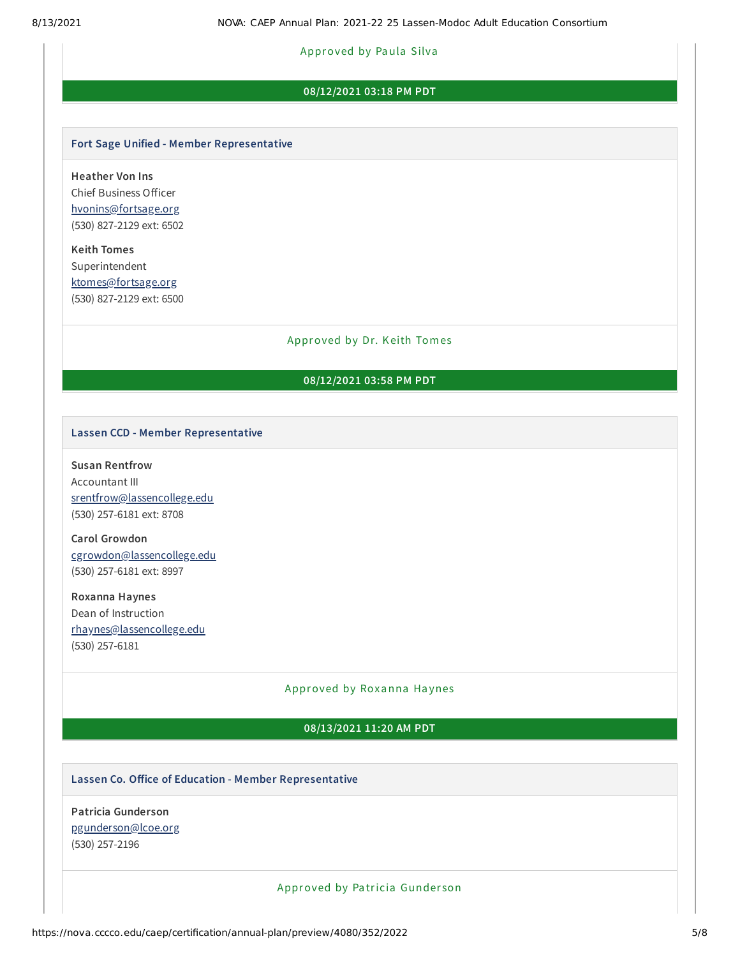### Approved by Paula Silva

### **08/12/2021 03:18 PM PDT**

#### **Fort Sage Unified - Member Representative**

**Heather Von Ins** Chief Business Officer [hvonins@fortsage.org](mailto:hvonins@fortsage.org) (530) 827-2129 ext: 6502

**Keith Tomes** Superintendent [ktomes@fortsage.org](mailto:ktomes@fortsage.org) (530) 827-2129 ext: 6500

### Approved by Dr. Keith Tomes

## **08/12/2021 03:58 PM PDT**

### **Lassen CCD - Member Representative**

### **Susan Rentfrow**

Accountant III [srentfrow@lassencollege.edu](mailto:srentfrow@lassencollege.edu) (530) 257-6181 ext: 8708

**Carol Growdon** [cgrowdon@lassencollege.edu](mailto:cgrowdon@lassencollege.edu) (530) 257-6181 ext: 8997

**Roxanna Haynes** Dean of Instruction [rhaynes@lassencollege.edu](mailto:rhaynes@lassencollege.edu) (530) 257-6181

### Approved by Roxanna Haynes

### **08/13/2021 11:20 AM PDT**

### **Lassen Co. Office of Education - Member Representative**

**Patricia Gunderson** [pgunderson@lcoe.org](mailto:pgunderson@lcoe.org) (530) 257-2196

Approved by Pa tricia Gunder son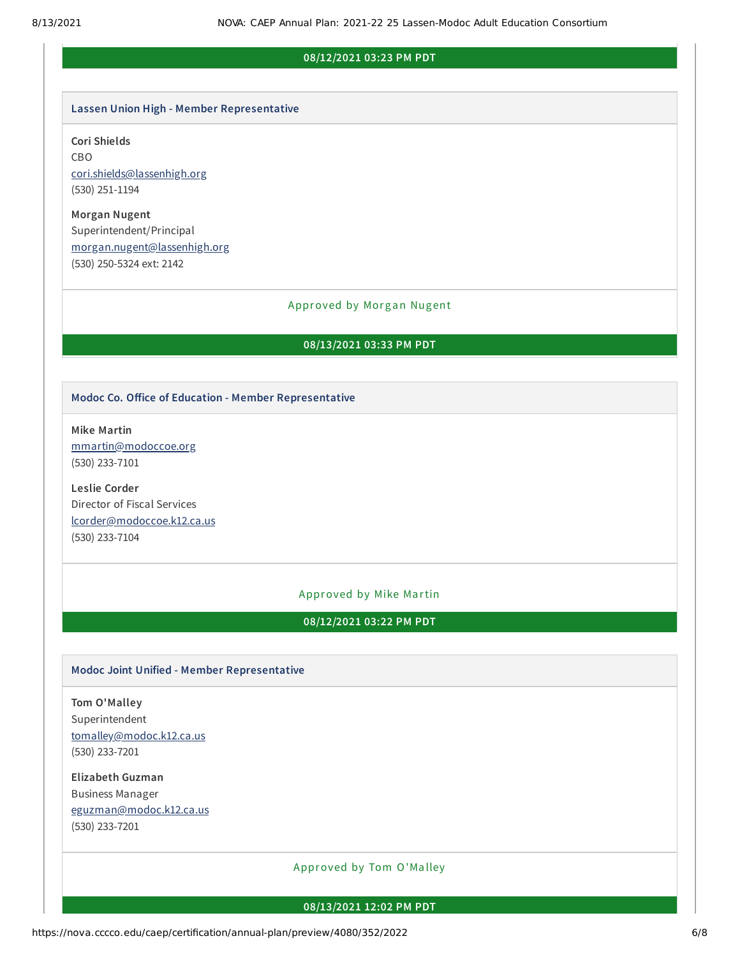### **08/12/2021 03:23 PM PDT**

#### **Lassen Union High - Member Representative**

### **Cori Shields**

CBO [cori.shields@lassenhigh.org](mailto:cori.shields@lassenhigh.org) (530) 251-1194

**Morgan Nugent** Superintendent/Principal [morgan.nugent@lassenhigh.org](mailto:morgan.nugent@lassenhigh.org) (530) 250-5324 ext: 2142

#### Approved by Morgan Nugent

### **08/13/2021 03:33 PM PDT**

### **Modoc Co. Office of Education - Member Representative**

**Mike Martin** [mmartin@modoccoe.org](mailto:mmartin@modoccoe.org) (530) 233-7101

**Leslie Corder** Director of Fiscal Services [lcorder@modoccoe.k12.ca.us](mailto:lcorder@modoccoe.k12.ca.us) (530) 233-7104

### Approved by Mike Martin

**08/12/2021 03:22 PM PDT**

### **Modoc Joint Unified - Member Representative**

**Tom O'Malley** Superintendent [tomalley@modoc.k12.ca.us](mailto:tomalley@modoc.k12.ca.us) (530) 233-7201

**Elizabeth Guzman** Business Manager [eguzman@modoc.k12.ca.us](mailto:eguzman@modoc.k12.ca.us) (530) 233-7201

Approved by Tom O'Ma lley

#### **08/13/2021 12:02 PM PDT**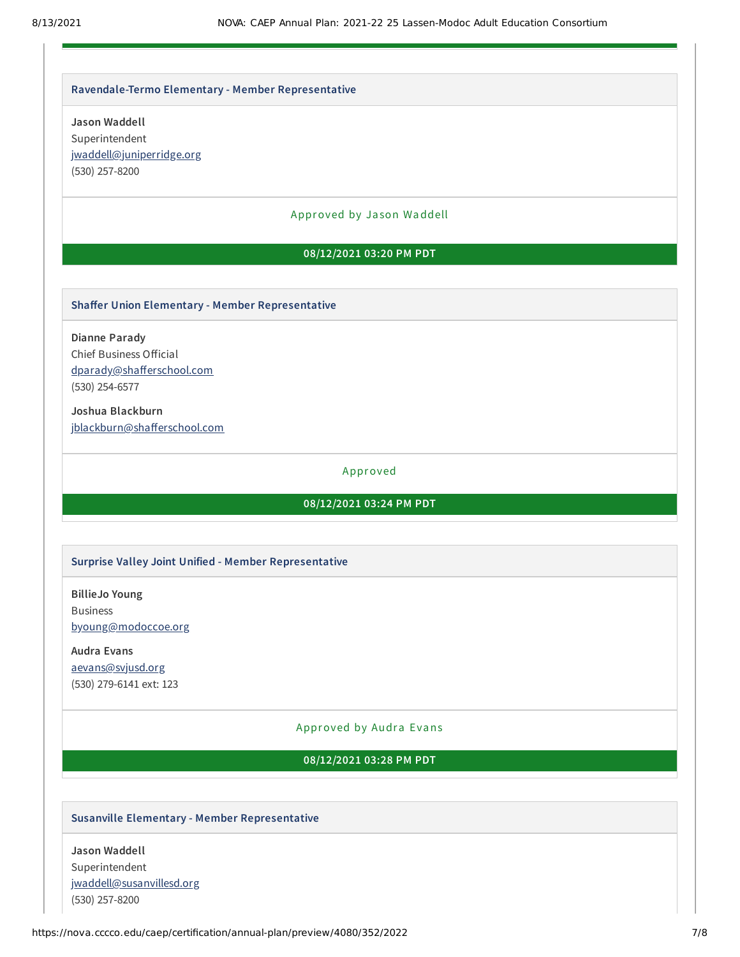#### **Ravendale-Termo Elementary - Member Representative**

**Jason Waddell** Superintendent [jwaddell@juniperridge.org](mailto:jwaddell@juniperridge.org) (530) 257-8200

### Approved by Ja son Waddell

## **08/12/2021 03:20 PM PDT**

### **Shaffer Union Elementary - Member Representative**

**Dianne Parady** Chief Business Official [dparady@shafferschool.com](mailto:dparady@shafferschool.com) (530) 254-6577

**Joshua Blackburn** [jblackburn@shafferschool.com](mailto:jblackburn@shafferschool.com)

### Approved

### **08/12/2021 03:24 PM PDT**

#### **Surprise Valley Joint Unified - Member Representative**

**BillieJo Young** Business [byoung@modoccoe.org](mailto:byoung@modoccoe.org)

**Audra Evans** [aevans@svjusd.org](mailto:aevans@svjusd.org) (530) 279-6141 ext: 123

#### Approved by Audra Evans

**08/12/2021 03:28 PM PDT**

### **Susanville Elementary - Member Representative**

**Jason Waddell** Superintendent [jwaddell@susanvillesd.org](mailto:jwaddell@susanvillesd.org) (530) 257-8200